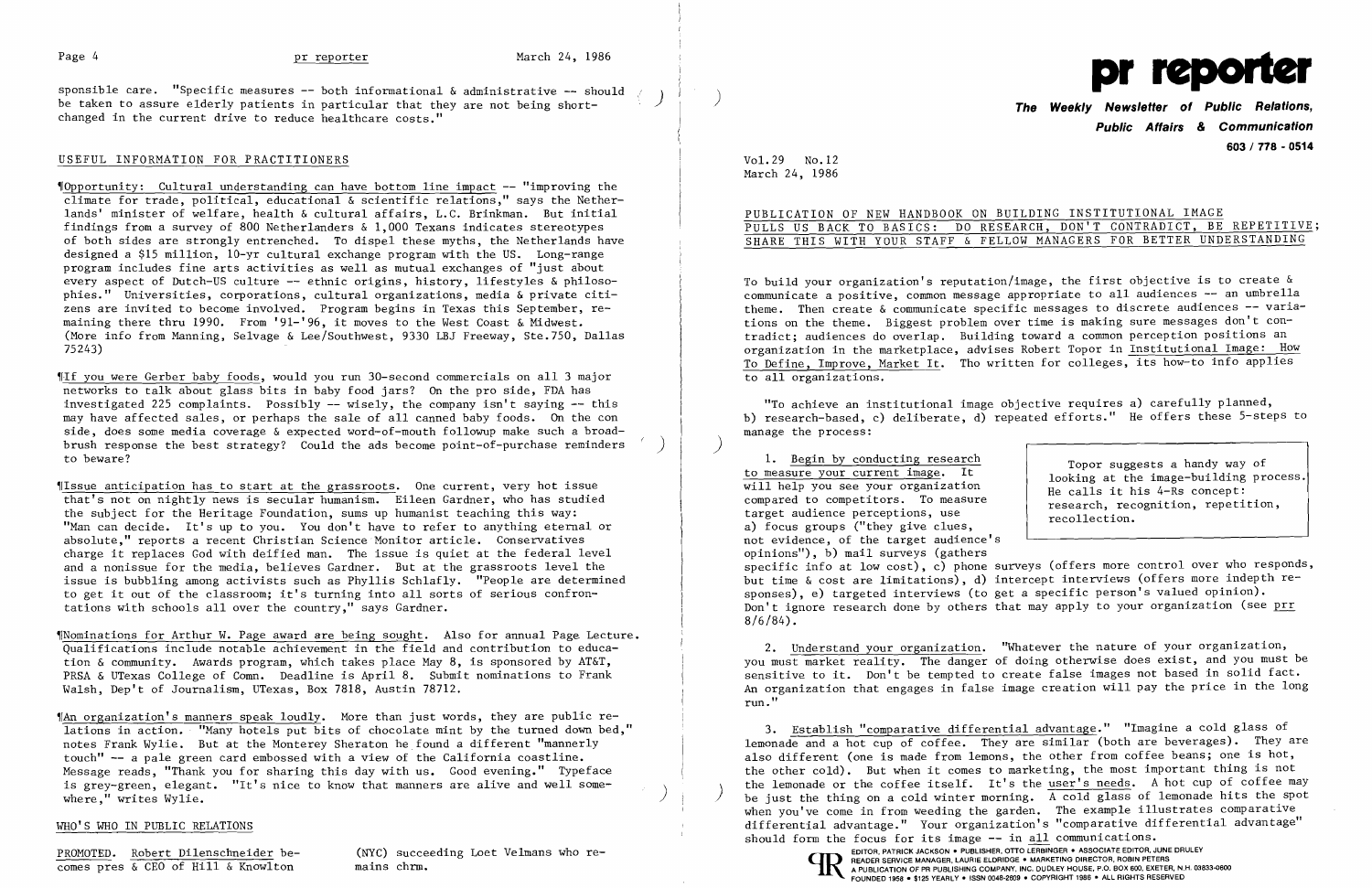## Page 4 pr reporter

sponsible care. "Specific measures -- both informational & administrative -- should <sub>{</sub><br>be taken to assure elderly patients in particular that they are not being shortbe taken to assure elderly patients in particular that they are not being shortchanged in the current drive to reduce healthcare costs."

### USEFUL INFORMATION FOR PRACTITIONERS

~rOpportunity: Cultural understanding can have bottom line impact -- "improving the climate for trade, political, educational & scientific relations," says the Netherlands' minister of welfare, health & cultural affairs, L.C. Brinkman. But initial findings from a survey of 800 Netherlanders & 1,000 Texans indicates stereotypes of both sides are strongly entrenched. To dispel these myths, the Netherlands have designed a \$15 million, 10-yr cultural exchange program with the US. Long-range program includes fine arts activities as well as mutual exchanges of "just about every aspect of Dutch-US culture -- ethnic origins, history, lifestyles & philosophies." Universities, corporations, cultural organizations, media & private citizens are invited to become involved. Program begins in Texas this September, remaining there thru 1990. From '91-'96, it moves to the West Coast & Midwest. (More info from Manning, Selvage & Lee/Southwest, 9330 LBJ Freeway, Ste.750, Dallas 75243)

~rlssue anticipation has to start at the grassroots. One current, very hot issue that's not on nightly news is secular humanism. Eileen Gardner, who has studied the subject for the Heritage Foundation, sums up humanist teaching this way: "Man can decide. It's up to you. You don't have to refer to anything eternal or absolute," reports a recent Christian Science Monitor article. Conservatives charge it replaces God with deified man. The issue is quiet at the federal level and a nonissue for the media, believes Gardner. But at the grassroots level the issue is bubbling among activists such as Phyllis Schlafly. "People are determined to get it out of the classroom; it's turning into all sorts of serious confrontations with schools all over the country," says Gardner.

"Nominations for Arthur W. Page award are being sought. Also for annual Page Lecture. Qualifications include notable achievement in the field and contribution to education & community. Awards program, which takes place May 8, is sponsored by AT&T, PRSA & UTexas College of Comn. Deadline is April 8. Submit nominations to Frank Walsh, Dep't of Journalism, UTexas, Box 7818, Austin 78712.

~fAn organization's manners speak loudly. More than just words, they are public relations in action. "Many hotels put bits of chocolate mint by the turned down bed," notes Frank Wylie. But at the Monterey Sheraton he found a different "mannerly touch" -- a pale green card embossed with a view of the California coastline. Message reads, "Thank you for sharing this day with us. Good evening." Typeface is grey-green, elegant. "It's nice to know that manners are alive and well someis grey-green, elegant. "It's nice to know that manners are allve and well some-<br>where," writes Wylie.

~rIf you were Gerber baby foods, would you run 30-second commercials on all 3 major networks to talk about glass bits in baby food jars? On the pro side, FDA has investigated 225 complaints. Possibly -- wisely, the company isn't saying -- this may have affected sales, or perhaps the sale of all canned baby foods. On the con side, does some media coverage & expected word-of-mouth followup make such a broadbrush response the best strategy? Could the ads become point-of-purchase reminders ) to beware?

> 3. Establish "comparative differential advantage." "Imagine a cold glass of lemonade and a hot cup of coffee. They are similar (both are beverages). They are also different (one is made from lemons, the other from coffee beans; one is hot, the other cold). But when it comes to marketing, the most important thing is not the lemonade or the coffee itself. It's the user's needs. A hot cup of coffee may<br>be just the thing on a cold winter morning. A cold glass of lemonade hits the spot when you've come in from weeding the garden. The example illustrates comparative differential advantage." Your organization's "comparative differential advantage" should form the focus for its image -- in all communications.<br>EDITOR, PATRICK JACKSON . PUBLISHER, OTTO LERBINGER . ASSOCIATE EDITOR, JUNE DRULEY

EXERCISE THE SCHOOL ROBERT SERVICE DELISTING TO THE SCONG SUCCEED TO A PROMOTED. ROBERT DILENS COPYRIGHT IS A PUBLISHER, OTTO LERBINGER . ASSOCIATE EDITOR, JUNE DRULEY<br>COMES PTES & CEO of Hill & Knowlton mains chrm. Mains FILANDI SERVICE INARROER, CAUTHE CLUTHOUR - INARRELING DIRECTOR, ITOBIN FETERS<br>A PUBLICATION OF PR PUBLISHING COMPANY, INC. DUDLEY HOUSE, P.O. BOX 600, EXETER, N.H. 03833-0600<br>FOUNDED 1958 · \$125 YEARLY · ISSN 0048-2609 ·

## WHO'S WHO IN PUBLIC RELATIONS



**Public Affairs & Communication 603 / 718 - 0514** 

Vol. 29 No.12 March 24, 1986

PUBLICATION OF NEW HANDBOOK ON BUILDING INSTITUTIONAL IMAGE PULLS US BACK TO BASICS: DO RESEARCH, DON'T CONTRADICT, BE REPETITIVE; SHARE THIS WITH YOUR STAFF & FELLOW MANAGERS FOR BETTER UNDERSTANDING

To build your organization's reputation/image, the first objective is to create & communicate a positive, common message appropriate to all audiences -- an umbrella theme. Then create & communicate specific messages to discrete audiences -- variations on the theme. Biggest problem over time is making sure messages don't contradict; audiences do overlap. Building toward a common perception positions an organization in the marketplace, advises Robert Topor in Institutional Image: How To Define, Improve, Market It. Tho written for colleges, its how-to info applies to all organizations.

"To achieve an institutional image objective requires a) carefully planned, b) research-based, c) deliberate, d) repeated efforts." He offers these 5-steps to manage the process:

1. <u>Begin by conducting research</u><br>
to measure your current image. It<br>
looking at the image-building process. to measure your current image. It<br>will help you see your organization<br>compared to competitors. To measure<br>target audience perceptions, use<br>a) focus groups ("they give clues,<br>ecollection. not evidence, of the target audience's opinions"), b) mail surveys (gathers specific info at low cost), c) phone surveys (offers more control over who responds, but time & cost are limitations), d) intercept interviews (offers more indepth responses), e) targeted interviews (to get a specific person's valued opinion). Don't ignore research done by others that may apply to your organization (see prr  $8/6/84$ ).

)

2. Understand your organization. "Whatever the nature of your organization, you must market reality. The danger of doing otherwise does exist, and you must be sensitive to it. Don't be tempted to create false images not based in solid fact. An organization that engages in false image creation will pay the price in the long run."